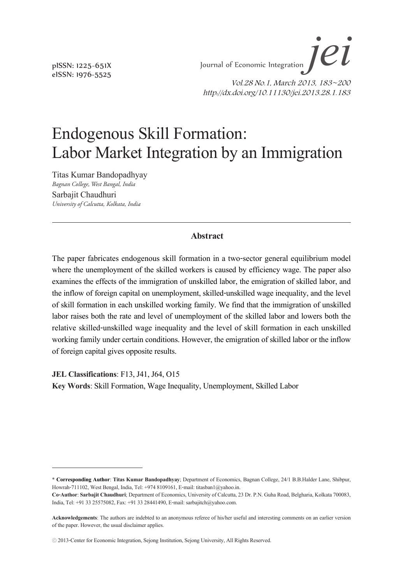*jei* Endogenous Skill Formation: Labor Market Integration by an Immigration Journal of Economic Integration  $J$  $e$ 

> Vol.28 No.1, March 2013, 183~200 http://dx.doi.org/10.11130/jei.2013.28.1.183

# Endogenous Skill Formation: Labor Market Integration by an Immigration

Titas Kumar Bandopadhyay *Bagnan College, West Bangal, India*

Sarbajit Chaudhuri *University of Calcutta, Kolkata, India*

#### **Abstract**

The paper fabricates endogenous skill formation in a two-sector general equilibrium model where the unemployment of the skilled workers is caused by efficiency wage. The paper also examines the effects of the immigration of unskilled labor, the emigration of skilled labor, and the inflow of foreign capital on unemployment, skilled-unskilled wage inequality, and the level of skill formation in each unskilled working family. We find that the immigration of unskilled labor raises both the rate and level of unemployment of the skilled labor and lowers both the relative skilled-unskilled wage inequality and the level of skill formation in each unskilled working family under certain conditions. However, the emigration of skilled labor or the inflow of foreign capital gives opposite results.

**JEL Classifications**: F13, J41, J64, O15 **Key Words**: Skill Formation, Wage Inequality, Unemployment, Skilled Labor

pISSN: 1225-651X eISSN: 1976-5525

<sup>\*</sup> **Corresponding Author**: **Titas Kumar Bandopadhyay**; Department of Economics, Bagnan College, 24/1 B.B.Halder Lane, Shibpur, Howrah-711102, West Bengal, India, Tel: +974 8109161, E-mail: titasban1@yahoo.in.

**Co-Author**: **Sarbajit Chaudhuri**; Department of Economics, University of Calcutta, 23 Dr. P.N. Guha Road, Belgharia, Kolkata 700083, India, Tel: +91 33 25575082, Fax: +91 33 28441490, E-mail: sarbajitch@yahoo.com.

**Acknowledgements**: The authors are indebted to an anonymous referee of his/her useful and interesting comments on an earlier version of the paper. However, the usual disclaimer applies.

<sup>ⓒ</sup> 2013-Center for Economic Integration, Sejong Institution, Sejong University, All Rights Reserved.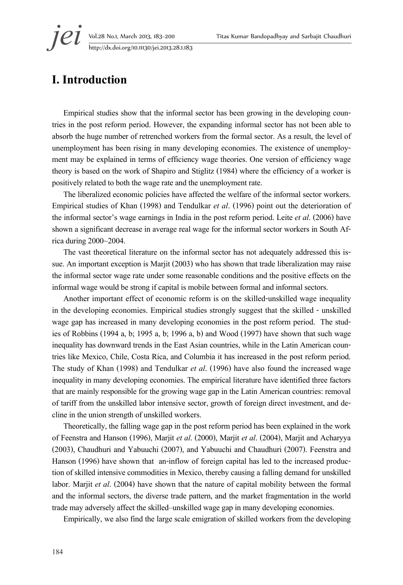**jei** Vol.28 No.1, March 2013, 183–200 Titas Kumar Bandopadhyay and Sarbajit Chaudhuri<br>http://dx.doi.org/10.11130/jei.2013.28.1.183 http://dx.doi.org/10.11130/jei.2013.28.1.183

# **I. Introduction**

Empirical studies show that the informal sector has been growing in the developing coun- tries in the post reform period. However, the expanding informal sector has not been able to absorb the huge number of retrenched workers from the formal sector. As a result, the level of unemployment has been rising in many developing economies. The existence of unemploy- ment may be explained in terms of efficiency wage theories. One version of efficiency wage theory is based on the work of Shapiro and Stiglitz (1984) where the efficiency of a worker is positively related to both the wage rate and the unemployment rate.

The liberalized economic policies have affected the welfare of the informal sector workers. Empirical studies of Khan (1998) and Tendulkar *et al*. (1996) point out the deterioration of the informal sector's wage earnings in India in the post reform period. Leite *et al*. (2006) have shown a significant decrease in average real wage for the informal sector workers in South Africa during 2000~2004.

The vast theoretical literature on the informal sector has not adequately addressed this is-<br>sue. An important exception is Marjit (2003) who has shown that trade liberalization may raise the informal sector wage rate under some reasonable conditions and the positive effects on the informal wage would be strong if capital is mobile between formal and informal sectors.

Another important effect of economic reform is on the skilled-unskilled wage inequality in the developing economies. Empirical studies strongly suggest that the skilled - unskilled wage gap has increased in many developing economies in the post reform period. The stud-<br>ies of Robbins (1994 a, b; 1995 a, b; 1996 a, b) and Wood (1997) have shown that such wage inequality has downward trends in the East Asian countries, while in the Latin American coun- tries like Mexico, Chile, Costa Rica, and Columbia it has increased in the post reform period. The study of Khan (1998) and Tendulkar *et al*. (1996) have also found the increased wage inequality in many developing economies. The empirical literature have identified three factors that are mainly responsible for the growing wage gap in the Latin American countries: removal of tariff from the unskilled labor intensive sector, growth of foreign direct investment, and de- cline in the union strength of unskilled workers.

Theoretically, the falling wage gap in the post reform period has been explained in the work of Feenstra and Hanson (1996), Marjit *et al*. (2000), Marjit *et al*. (2004), Marjit and Acharyya (2003), Chaudhuri and Yabuuchi (2007), and Yabuuchi and Chaudhuri (2007). Feenstra and Hanson (1996) have shown that an-inflow of foreign capital has led to the increased produc- tion of skilled intensive commodities in Mexico, thereby causing a falling demand for unskilled labor. Marjit *et al*. (2004) have shown that the nature of capital mobility between the formal and the informal sectors, the diverse trade pattern, and the market fragmentation in the world trade may adversely affect the skilled–unskilled wage gap in many developing economies.

Empirically, we also find the large scale emigration of skilled workers from the developing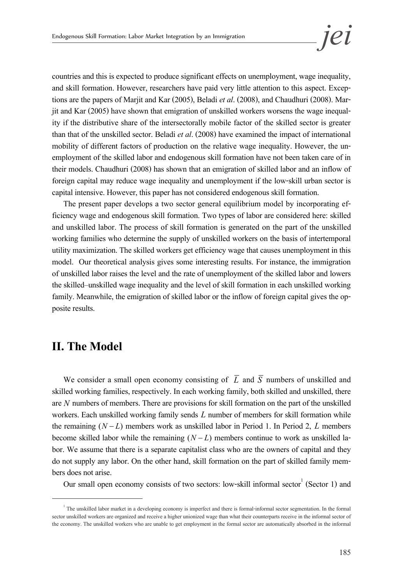countries and this is expected to produce significant effects on unemployment, wage inequality, and skill formation. However, researchers have paid very little attention to this aspect. Exceptions are the papers of Marjit and Kar (2005), Beladi *et al.* (2008), and Chaudhuri (2008). Marjit and Kar (2005) have shown t than that of the unskilled sector. Beladi *et al*. (2008) have examined the impact of international mobility of different factors of production on the relative wage inequality. However, the un- employment of the skilled labor and endogenous skill formation have not been taken care of in their models. Chaudhuri (2008) has shown that an emigration of skilled labor and an inflow of foreign capital may reduce wage inequality and unemployment if the low-skill urban sector is capital intensive. However, this paper has not considered endogenous skill formation.

The present paper develops a two sector general equilibrium model by incorporating efficiency wage and endogenous skill formation. Two types of labor are considered here: skilled and unskilled labor. The process of skill formation is generated on the part of the unskilled working families who determine the supply of unskilled workers on the basis of intertemporal utility maximization. The skilled workers get efficiency wage that causes unemployment in this model. Our theoretical analysis gives some interesting results. For instance, the immigration of unskilled labor raises the level and the rate of unemployment of the skilled labor and lowers the skilled–unskilled wage inequality and the level of skill formation in each unskilled working family. Meanwhile, the emigration of skilled labor or the inflow of foreign capital gives the opposite results.

## **II. The Model**

We consider a small open economy consisting of  $\overline{L}$  and  $\overline{S}$  numbers of unskilled and skilled working families, respectively. In each working family, both skilled and unskilled, there are *N* numbers of members. There are provisions for skill formation on the part of the unskilled workers. Each unskilled working family sends *L* number of members for skill formation while the remaining  $(N - L)$  members work as unskilled labor in Period 1. In Period 2, L members become skilled labor while the remaining  $(N - L)$  members continue to work as unskilled labor. We assume that there is a separate capitalist class who are the owners of capital and they do not supply any labor. On the other hand, skill formation on the part of skilled family mem- bers does not arise.

Our small open economy consists of two sectors: low-skill informal sector<sup>1</sup> (Sector 1) and

 $1$ <sup>1</sup> The unskilled labor market in a developing economy is imperfect and there is formal-informal sector segmentation. In the formal sector unskilled workers are organized and receive a higher unionized wage than what their counterparts receive in the informal sector of the economy. The unskilled workers who are unable to get employment in the formal sector are automatically absorbed in the informal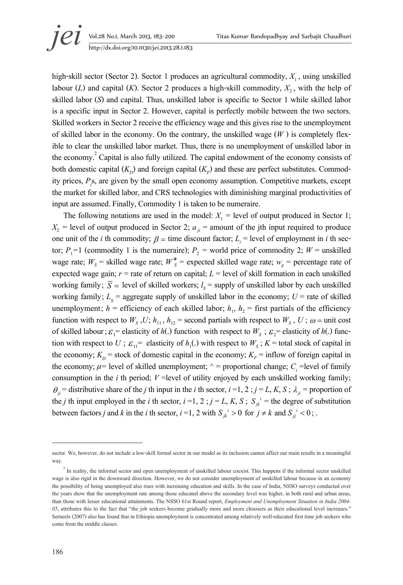high-skill sector (Sector 2). Sector 1 produces an agricultural commodity,  $X_1$ , using unskilled labour (*L*) and capital (*K*). Sector 2 produces a high-skill commodity,  $X_2$ , with the help of skilled labor (*S*) and capital. Thus, unskilled labor is specific to Sector 1 while skilled labor is a specific input in Sector 2. However, capital is perfectly mobile between the two sectors. Skilled workers in Sector 2 receive the efficiency wage and this gives rise to the unemployment of skilled labor in the economy. On the contrary, the unskilled wage  $(W)$  is completely flex-<br>ible to clear the unskilled labor market. Thus, there is no unemployment of unskilled labor in the economy.<sup>2</sup> Capital is also fully utilized. The capital endowment of the economy consists of both domestic capital  $(K<sub>n</sub>)$  and foreign capital  $(K<sub>n</sub>)$  and these are perfect substitutes. Commodity prices,  $P_{.}$  are given by the small open economy assumption. Competitive markets, except the market for skilled labor, and CRS technologies with diminishing marginal productivities of input are assumed. Finally, Commodity 1 is taken to be numeraire.

The following notations are used in the model:  $X_1$  = level of output produced in Sector 1;  $X_2$  = level of output produced in Sector 2;  $a_{ji}$  = amount of the jth input required to produce one unit of the *i* th commodity;  $\beta$  = time discount factor;  $L_i$  = level of employment in *i* th sector;  $P_1 = 1$  (commodity 1 is the numeraire);  $P_2$  = world price of commodity 2;  $W =$  unskilled wage rate;  $W_s$  = skilled wage rate;  $W_s^*$  = expected skilled wage rate;  $w_g$  = percentage rate of expected wage gain;  $r =$  rate of return on capital;  $L =$  level of skill formation in each unskilled working family;  $\overline{S}$  = level of skilled workers;  $l_s$  = supply of unskilled labor by each unskilled working family;  $L_s$  = aggregate supply of unskilled labor in the economy;  $U$  = rate of skilled unemployment;  $h =$  efficiency of each skilled labor;  $h_1$ ,  $h_2 =$  first partials of the efficiency function with respect to  $W_s$ ,  $U$ ;  $h_{11}$ ,  $h_{12}$  = second partials with respect to  $W_s$ ,  $U$ ;  $\omega$  = unit cost of skilled labour;  $\varepsilon_1$ = elasticity of  $h(.)$  function with respect to  $W_s$ ;  $\varepsilon_2$ = elasticity of  $h(.)$  function with respect to  $U$ ;  $\varepsilon_{11}$ = elasticity of  $h_1(.)$  with respect to  $W_s$ ;  $K$  = total stock of capital in the economy;  $K_p$  = stock of domestic capital in the economy;  $K_p$  = inflow of foreign capital in the economy;  $\mu$ = level of skilled unemployment;  $\wedge$  = proportional change; *C<sub>i</sub>* =level of family consumption in the *i* th period; *V* =level of utility enjoyed by each unskilled working family;  $\theta_{ii}$  = distributive share of the *j* th input in the *i* th sector, *i* =1, 2; *j* = *L*, *K*, *S*;  $\lambda_{ii}$  = proportion of the *j* th input employed in the *i* th sector,  $i = 1, 2$ ;  $j = L, K, S$ ;  $S_{jk}$ <sup>*i*</sup> = the degree of substitution between factors *j* and *k* in the *i* th sector,  $i = 1, 2$  with  $S_{jk}^i > 0$  for  $j \neq k$  and  $S_{jj}^i < 0$ ;

sector. We, however, do not include a low-skill formal sector in our model as its inclusion cannot affect our main results in a meaningful way.

 $2$  In reality, the informal sector and open unemployment of unskilled labour coexist. This happens if the informal sector unskilled wage is also rigid in the downward direction. However, we do not consider unemployment of unskilled labour because in an economy the possibility of being unemployed also rises with increasing education and skills. In the case of India, NSSO surveys conducted over the years show that the unemployment rate among those educated above the secondary level was higher, in both rural and urban areas, than those with lesser educational attainments. The NSSO 61st Round report, *Employment and Unemployment Situation in India 2004- 05*, attributes this to the fact that "the job seekers become gradually more and more choosers as their educational level increases." Serneels (2007) also has found that in Ethiopia unemployment is concentrated among relatively well-educated first time job seekers who come from the middle classes.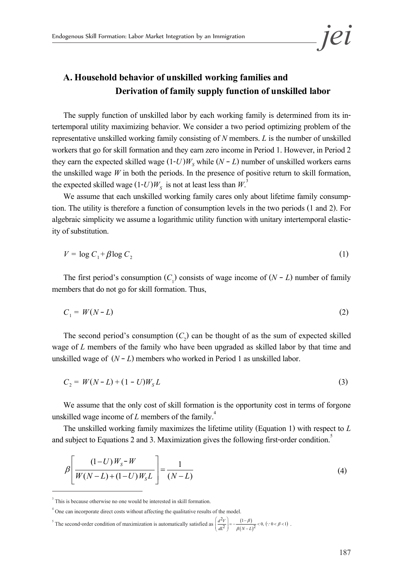

#### **A. Household behavior of unskilled working families and Derivation of family supply function of unskilled labor**

The supply function of unskilled labor by each working family is determined from its in- tertemporal utility maximizing behavior. We consider a two period optimizing problem of the representative unskilled working family consisting of *N* members. *L* is the number of unskilled workers that go for skill formation and they earn zero income in Period 1. However, in Period 2 they earn the expected skilled wage  $(1-U)W<sub>s</sub>$  while  $(N - L)$  number of unskilled workers earns the unskilled wage *W* in both the periods. In the presence of positive return to skill formation, the expected skilled wage  $(1-U)W_s$  is not at least less than  $W^3$ .

We assume that each unskilled working family cares only about lifetime family consumption. The utility is therefore a function of consumption levels in the two periods (1 and 2). For algebraic simplicity we assume a logarithmic utility function with unitary intertemporal elastic- ity of substitution.

$$
V = \log C_1 + \beta \log C_2 \tag{1}
$$

*V* = log *C*<sub>1</sub> + *β* log *C*<sub>2</sub> (1)  $\overline{C_1}$  (1) consists of wage income of (*N* - *L*) number of family members that do not go for skill formation. Thus,

$$
C_1 = W(N - L) \tag{2}
$$

The second period's consumption  $(C_2)$  can be thought of as the sum of expected skilled wage of *L* members of the family who have been upgraded as skilled labor by that time and unskilled wage of  $(N - L)$  members who worked in Period 1 as unskilled labor.

$$
C_2 = W(N - L) + (1 - U)W_s L \tag{3}
$$

We assume that the only cost of skill formation is the opportunity cost in terms of forgone unskilled wage income of  $L$  members of the family.<sup>4</sup>

The unskilled working family maximizes the lifetime utility (Equation 1) with respect to *L*  and subject to Equations 2 and 3. Maximization gives the following first-order condition.<sup>5</sup>

$$
\beta \left[ \frac{(1-U)W_s - W}{W(N-L) + (1-U)W_sL} \right] = \frac{1}{(N-L)}
$$
\n(4)

<sup>&</sup>lt;sup>3</sup> This is because otherwise no one would be interested in skill formation.

<sup>4</sup> One can incorporate direct costs without affecting the qualitative results of the model.

<sup>&</sup>lt;sup>5</sup> The second-order condition of maximization is automatically satisfied as  $\left(\frac{d^2v}{dt^2}\right) = -\frac{(1-\beta)}{\beta(N-L)^2} < 0$ ,  $\left(\because 0 < \beta < 1\right)$  $\left(\frac{d^2V}{dL^2}\right) = -\frac{(1-\beta)}{\beta(N-L)^2} < 0, \ (\because 0 < \beta < 1)$  $\left(\frac{d^2V}{dt^2}\right) = -\frac{(1-\beta)}{\beta(N-L)^2} < 0, \; (\because 0 < \beta < 1)$ .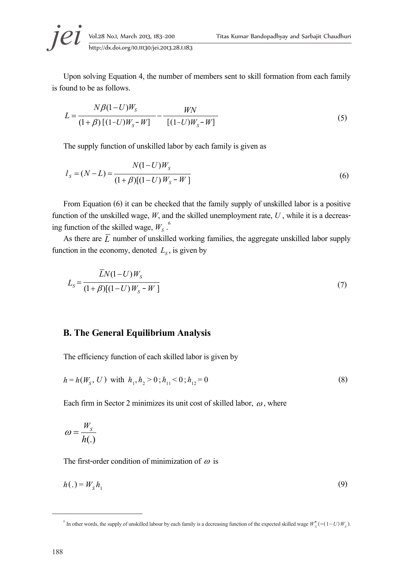Upon solving Equation 4, the number of members sent to skill formation from each family is found to be as follows.

$$
L = \frac{N\beta(1-U)W_s}{(1+\beta)\left[(1-U)W_s - W\right]} - \frac{WN}{\left[(1-U)W_s - W\right]}
$$
(5)

The supply function of unskilled labor by each family is given as

$$
l_s = (N - L) = \frac{N(1 - U)W_s}{(1 + \beta)[(1 - U)W_s - W]}
$$
(6)

From Equation (6) it can be checked that the family supply of unskilled labor is a positive function of the unskilled wage,  $W$ , and the skilled unemployment rate,  $U$ , while it is a decreasing function of the skilled wage,  $W_c$ .

As there are  $\overline{L}$  number of unskilled working families, the aggregate unskilled labor supply function in the economy, denoted  $L<sub>s</sub>$ , is given by

$$
L_{S} = \frac{\bar{L}N(1-U)W_{S}}{(1+\beta)[(1-U)W_{S}-W]}
$$
\n(7)

#### **B. The General Equilibrium Analysis**

The efficiency function of each skilled labor is given by

$$
h = h(W_s, U) \text{ with } h_1, h_2 > 0; h_{11} < 0; h_{12} = 0
$$
\n
$$
(8)
$$

Each firm in Sector 2 minimizes its unit cost of skilled labor,  $\omega$ , where

$$
\omega = \frac{W_s}{h(.)}
$$

The first-order condition of minimization of  $\omega$  is

$$
h(.) = W_s h_1 \tag{9}
$$

 $^{6}$  In other words, the supply of unskilled labour by each family is a decreasing function of the expected skilled wage  $W_s^*$  (=(1-*U*)  $W_s$ ).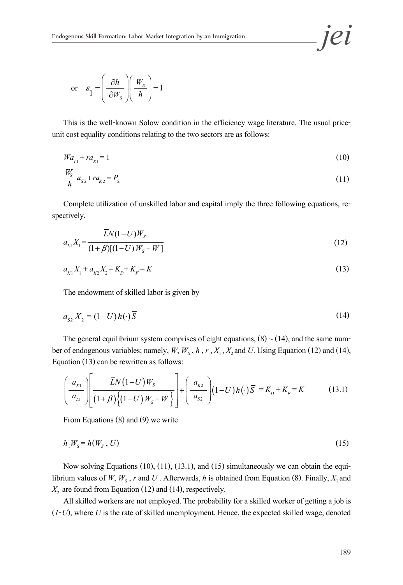or 
$$
\varepsilon_1 = \left(\frac{\partial h}{\partial W_s}\right) \left(\frac{W_s}{h}\right) = 1
$$

This is the well-known Solow condition in the efficiency wage literature. The usual priceunit cost equality conditions relating to the two sectors are as follows:

$$
Wa_{L1} + ra_{K1} = 1\tag{10}
$$

$$
\frac{W_s}{h}a_{s2} + ra_{k2} = P_2 \tag{11}
$$

Complete utilization of unskilled labor and capital imply the three following equations, respectively.

$$
a_{L1}X_1 = \frac{\overline{L}N(1-U)W_s}{(1+\beta)[(1-U)W_s - W]}
$$
\n(12)

$$
a_{K1}X_1 + a_{K2}X_2 = K_D + K_F = K\tag{13}
$$

The endowment of skilled labor is given by

$$
a_{s2} X_2 = (1-U) h(\cdot) \overline{S}
$$
\n<sup>(14)</sup>

The general equilibrium system comprises of eight equations, (8) ~ (14), and the same number of endogenous variables; namely,  $W$ ,  $W_s$ ,  $h$ ,  $r$ ,  $X_1$ ,  $X_2$  and  $U$ . Using Equation (12) and (14), Equation (13) can be rewritten as follows:

$$
\left(\frac{a_{_{K1}}}{a_{_{L1}}}\right)\left(\frac{\bar{L}N(1-U)W_{S}}{(1+\beta)\left\{(1-U)W_{S}-W\right\}}\right)+\left(\frac{a_{_{K2}}}{a_{_{S2}}}\right)(1-U)h(\cdot)\bar{S} = K_{_{D}} + K_{_{F}} = K \tag{13.1}
$$

From Equations (8) and (9) we write

$$
h_1 W_s = h(W_s, U) \tag{15}
$$

Now solving Equations (10), (11), (13.1), and (15) simultaneously we can obtain the equilibrium values of  $W$ ,  $W_s$ ,  $r$  and  $U$ . Afterwards,  $h$  is obtained from Equation (8). Finally,  $X_1$  and  $X<sub>2</sub>$  are found from Equation (12) and (14), respectively.

All skilled workers are not employed. The probability for a skilled worker of getting a job is (*1*-*U*), where *U* is the rate of skilled unemployment. Hence, the expected skilled wage, denoted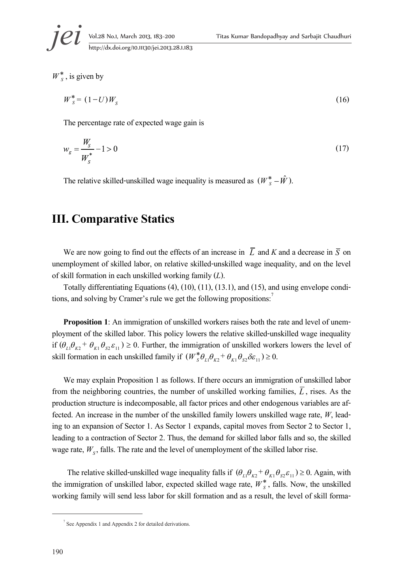$W_s^*$ , is given by

$$
W_s^* = (1 - U)W_s \tag{16}
$$

The percentage rate of expected wage gain is

$$
w_g = \frac{W_s}{W_s^*} - 1 > 0\tag{17}
$$

The relative skilled-unskilled wage inequality is measured as  $(W_s^* - \hat{W})$ .

# **III. Comparative Statics**

We are now going to find out the effects of an increase in  $\overline{L}$  and *K* and a decrease in  $\overline{S}$  on unemployment of skilled labor, on relative skilled-unskilled wage inequality, and on the level of skill formation in each unskilled working family (*L*).

Totally differentiating Equations (4), (10), (11), (13.1), and (15), and using envelope conditions, and solving by Cramer's rule we get the following propositions:<sup>7</sup>

**Proposition 1**: An immigration of unskilled workers raises both the rate and level of unem-<br>ployment of the skilled labor. This policy lowers the relative skilled-unskilled wage inequality if  $(\theta_{L1}\theta_{K2} + \theta_{K1}\theta_{S2}\varepsilon_{11}) \ge 0$ . Further, the immigration of unskilled workers lowers the level of skill formation in each unskilled family if  $(W_s^* \theta_{L1} \theta_{K2}^* + \theta_{K1} \theta_{S2} \delta \varepsilon_{11}) \ge 0$ .

We may explain Proposition 1 as follows. If there occurs an immigration of unskilled labor from the neighboring countries, the number of unskilled working families,  $\overline{L}$ , rises. As the production structure is indecomposable, all factor prices and other endogenous variables are af-<br>fected. An increase in the number of the unskilled family lowers unskilled wage rate,  $W$ , lead-<br>ing to an expansion of Sect leading to a contraction of Sector 2. Thus, the demand for skilled labor falls and so, the skilled wage rate,  $W_s$ , falls. The rate and the level of unemployment of the skilled labor rise.

The relative skilled-unskilled wage inequality falls if  $(\theta_{L1}\theta_{K2} + \theta_{K1}\theta_{S2}\varepsilon_{11}) \ge 0$ . Again, with the immigration of unskilled labor, expected skilled wage rate,  $W_s^*$ , falls. Now, the unskilled working family will send less labor for skill formation and as a result, the level of skill forma-

<sup>7</sup> See Appendix 1 and Appendix 2 for detailed derivations.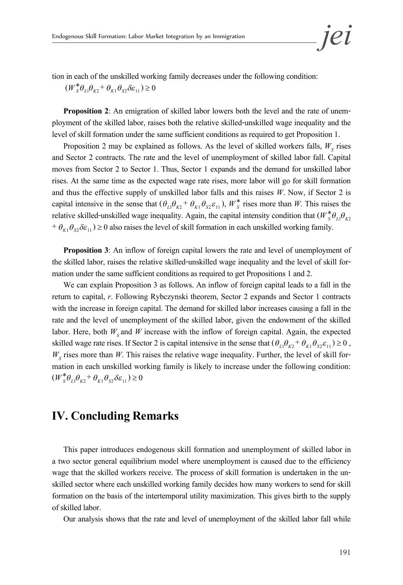

tion in each of the unskilled working family decreases under the following condition:

 $(W_s^* \theta_{L1} \theta_{K2}^* + \theta_{K1} \theta_{S2} \delta \varepsilon_{11}) \ge 0$ 

**Proposition 2**: An emigration of skilled labor lowers both the level and the rate of unem-<br>ployment of the skilled labor, raises both the relative skilled-unskilled wage inequality and the level of skill formation under the same sufficient conditions as required to get Proposition 1.

Proposition 2 may be explained as follows. As the level of skilled workers falls,  $W<sub>s</sub>$  rises and Sector 2 contracts. The rate and the level of unemployment of skilled labor fall. Capital moves from Sector 2 to Sector 1. Thus, Sector 1 expands and the demand for unskilled labor rises. At the same time as the expected wage rate rises, more labor will go for skill formation and thus the effective supply of unskilled labor falls and this raises *W*. Now, if Sector 2 is capital intensive in the sense that  $(\theta_{L1}\theta_{K2} + \theta_{K1}\theta_{S2}\varepsilon_{11})$ ,  $W_s^*$  rises more than *W*. This raises the relative skilled-unskilled wage inequality. Again, the capital intensity condition that  $(W_s^* \theta_{L1} \theta_{K2})$  $+\theta_{K1}\theta_{S2}\delta\epsilon_{11}$   $\geq$  0 also raises the level of skill formation in each unskilled working family.

**Proposition 3**: An inflow of foreign capital lowers the rate and level of unemployment of the skilled labor, raises the relative skilled-unskilled wage inequality and the level of skill for- mation under the same sufficient conditions as required to get Propositions 1 and 2.

We can explain Proposition 3 as follows. An inflow of foreign capital leads to a fall in the return to capital, *r*. Following Rybczynski theorem, Sector 2 expands and Sector 1 contracts with the increase in foreign capital. The demand for skilled labor increases causing a fall in the rate and the level of unemployment of the skilled labor, given the endowment of the skilled labor. Here, both  $W<sub>s</sub>$  and  $W$  increase with the inflow of foreign capital. Again, the expected skilled wage rate rises. If Sector 2 is capital intensive in the sense that  $(\theta_{L1}\theta_{K2} + \theta_{K1}\theta_{S2}\varepsilon_{11}) \ge 0$ ,  $W<sub>S</sub>$  rises more than *W*. This raises the relative wage inequality. Further, the level of skill for- mation in each unskilled working family is likely to increase under the following condition:  $(W_s^* \theta_{L1} \theta_{K2}^* + \theta_{K1} \theta_{S2} \delta \varepsilon_{11}) \ge 0$ 

## **IV. Concluding Remarks**

This paper introduces endogenous skill formation and unemployment of skilled labor in a two sector general equilibrium model where unemployment is caused due to the efficiency wage that the skilled workers receive. The process of skill formation is undertaken in the un-<br>skilled sector where each unskilled working family decides how many workers to send for skill formation on the basis of the intertemporal utility maximization. This gives birth to the supply of skilled labor.

Our analysis shows that the rate and level of unemployment of the skilled labor fall while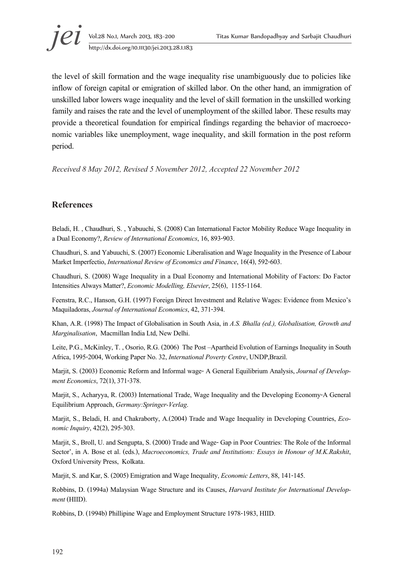

the level of skill formation and the wage inequality rise unambiguously due to policies like inflow of foreign capital or emigration of skilled labor. On the other hand, an immigration of unskilled labor lowers wage inequality and the level of skill formation in the unskilled working family and raises the rate and the level of unemployment of the skilled labor. These results may provide a theoretical foundation for empirical findings regarding the behavior of macroeco-<br>nomic variables like unemployment, wage inequality, and skill formation in the post reform period.

*Received 8 May 2012, Revised 5 November 2012, Accepted 22 November 2012* 

#### **References**

Beladi, H. , Chaudhuri, S. , Yabuuchi, S. (2008) Can International Factor Mobility Reduce Wage Inequality in a Dual Economy?, *Review of International Economics*, 16, 893-903.

Chaudhuri, S. and Yabuuchi, S. (2007) Economic Liberalisation and Wage Inequality in the Presence of Labour Market Imperfectio, *International Review of Economics and Finance*, 16(4), 592-603.

Chaudhuri, S. (2008) Wage Inequality in a Dual Economy and International Mobility of Factors: Do Factor Intensities Always Matter?, *Economic Modelling, Elsevier*, 25(6), 1155-1164.

Feenstra, R.C., Hanson, G.H. (1997) Foreign Direct Investment and Relative Wages: Evidence from Mexico's Maquiladoras, *Journal of International Economics*, 42, 371-394.

Khan, A.R. (1998) The Impact of Globalisation in South Asia, in *A.S. Bhalla (ed.), Globalisation, Growth and Marginalisation*, Macmillan India Ltd, New Delhi.

Leite, P.G., McKinley, T. , Osorio, R.G. (2006) The Post –Apartheid Evolution of Earnings Inequality in South Africa, 1995-2004, Working Paper No. 32, *International Poverty Centre*, UNDP,Brazil.

Marjit, S. (2003) Economic Reform and Informal wage- A General Equilibrium Analysis, *Journal of Develop- ment Economics*, 72(1), 371-378.

Marjit, S., Acharyya, R. (2003) International Trade, Wage Inequality and the Developing Economy-A General Equilibrium Approach, *Germany:Springer-Verlag*.

Marjit, S., Beladi, H. and Chakraborty, A.(2004) Trade and Wage Inequality in Developing Countries, *Eco- nomic Inquiry*, 42(2), 295-303.

Marjit, S., Broll, U. and Sengupta, S. (2000) Trade and Wage- Gap in Poor Countries: The Role of the Informal Sector', in A. Bose et al. (eds.), *Macroeconomics, Trade and Institutions: Essays in Honour of M.K.Rakshit*, Oxford University Press, Kolkata.

Marjit, S. and Kar, S. (2005) Emigration and Wage Inequality, *Economic Letters*, 88, 141-145.

Robbins, D. (1994a) Malaysian Wage Structure and its Causes, *Harvard Institute for International Develop- ment* (HIID).

Robbins, D. (1994b) Phillipine Wage and Employment Structure 1978-1983, HIID.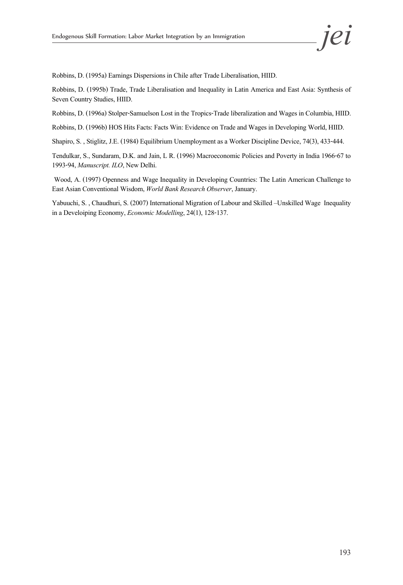Robbins, D. (1995a) Earnings Dispersions in Chile after Trade Liberalisation, HIID.

Robbins, D. (1995b) Trade, Trade Liberalisation and Inequality in Latin America and East Asia: Synthesis of Seven Country Studies, HIID.

Robbins, D. (1996a) Stolper-Samuelson Lost in the Tropics-Trade liberalization and Wages in Columbia, HIID.

Robbins, D. (1996b) HOS Hits Facts: Facts Win: Evidence on Trade and Wages in Developing World, HIID.

Shapiro, S. , Stiglitz, J.E. (1984) Equilibrium Unemployment as a Worker Discipline Device, 74(3), 433-444.

Tendulkar, S., Sundaram, D.K. and Jain, L R. (1996) Macroeconomic Policies and Poverty in India 1966-67 to 1993-94, *Manuscript. ILO*, New Delhi.

 Wood, A. (1997) Openness and Wage Inequality in Developing Countries: The Latin American Challenge to East Asian Conventional Wisdom, *World Bank Research Observer*, January.

Yabuuchi, S. , Chaudhuri, S. (2007) International Migration of Labour and Skilled –Unskilled Wage Inequality in a Develoiping Economy, *Economic Modelling*, 24(1), 128-137.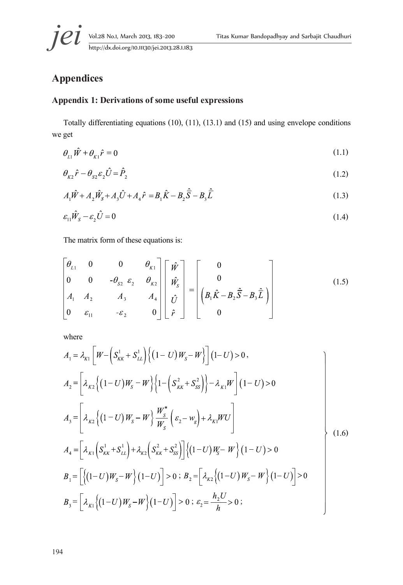

## **Appendices**

#### **Appendix 1: Derivations of some useful expressions**

Totally differentiating equations (10), (11), (13.1) and (15) and using envelope conditions we get

$$
\theta_{L1}\hat{W} + \theta_{K1}\hat{r} = 0\tag{1.1}
$$

$$
\theta_{\kappa 2}\hat{r} - \theta_{\kappa 2}\varepsilon_2 \hat{U} = \hat{P}_2 \tag{1.2}
$$

$$
A_1 \hat{W} + A_2 \hat{W}_s + A_3 \hat{U} + A_4 \hat{r} = B_1 \hat{K} - B_2 \hat{\overline{S}} - B_3 \hat{\overline{L}}
$$
(1.3)

$$
\varepsilon_{11}\hat{W}_s - \varepsilon_2 \hat{U} = 0\tag{1.4}
$$

The matrix form of these equations is:

$$
\begin{bmatrix} \theta_{L1} & 0 & 0 & \theta_{K1} \\ 0 & 0 & -\theta_{S2} & \varepsilon_2 & \theta_{K2} \\ A_1 & A_2 & A_3 & A_4 \\ 0 & \varepsilon_{11} & -\varepsilon_2 & 0 \end{bmatrix} \begin{bmatrix} \hat{W} \\ \hat{W}_S \\ \hat{U} \\ \hat{F} \end{bmatrix} = \begin{bmatrix} 0 \\ 0 \\ \left( B_1 \hat{K} - B_2 \hat{S} - B_3 \hat{L} \right) \\ 0 \end{bmatrix} \tag{1.5}
$$

where

$$
A_{1} = \lambda_{K1} \left[ W - \left( S_{KK}^{1} + S_{LL}^{1} \right) \left\{ (1 - U) W_{S} - W \right\} \right] (1 - U) > 0,
$$
  
\n
$$
A_{2} = \left[ \lambda_{K2} \left\{ (1 - U) W_{S} - W \right\} \left\{ 1 - \left( S_{KK}^{2} + S_{SS}^{2} \right) \right\} - \lambda_{K1} W \right] (1 - U) > 0
$$
  
\n
$$
A_{3} = \left[ \lambda_{K2} \left\{ (1 - U) W_{S} - W \right\} \frac{W_{S}^{*}}{W_{S}} \left( \varepsilon_{2} - w_{g} \right) + \lambda_{K1} W U \right]
$$
  
\n
$$
A_{4} = \left[ \lambda_{K1} \left( S_{KK}^{1} + S_{LL}^{1} \right) + \lambda_{K2} \left( S_{KK}^{2} + S_{SS}^{2} \right) \right] \left\{ (1 - U) W_{S} - W \right\} (1 - U) > 0
$$
  
\n
$$
B_{1} = \left[ \left\{ (1 - U) W_{S} - W \right\} (1 - U) \right] > 0 ; B_{2} = \left[ \lambda_{K2} \left\{ (1 - U) W_{S} - W \right\} (1 - U) \right] > 0
$$
  
\n
$$
B_{3} = \left[ \lambda_{K1} \left\{ (1 - U) W_{S} - W \right\} (1 - U) \right] > 0 ; \varepsilon_{2} = \frac{h_{2} U}{h} > 0 ;
$$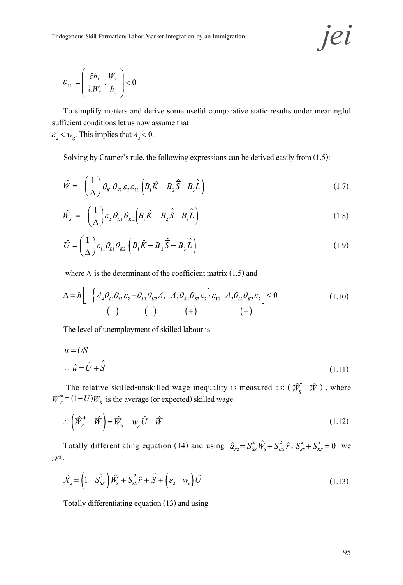$$
\varepsilon_{11} = \left(\frac{\partial h_1}{\partial W_s} \cdot \frac{W_s}{h_1}\right) < 0
$$

 To simplify matters and derive some useful comparative static results under meaningful sufficient conditions let us now assume that

 $\varepsilon_2 < w_g$ . This implies that  $A_3 < 0$ .

Solving by Cramer's rule, the following expressions can be derived easily from (1.5):

$$
\hat{W} = -\left(\frac{1}{\Delta}\right)\theta_{K1}\theta_{S2}\varepsilon_2\varepsilon_{11}\left(B_1\hat{K} - B_2\hat{\overline{S}} - B_3\hat{\overline{L}}\right)
$$
\n(1.7)

$$
\hat{W}_s = -\left(\frac{1}{\Delta}\right) \varepsilon_2 \,\theta_{L1} \,\theta_{K2} \left(B_1 \hat{K} - B_2 \hat{\overline{S}} - B_3 \hat{\overline{L}}\right) \tag{1.8}
$$

$$
\hat{U} = \left(\frac{1}{\Delta}\right) \varepsilon_{11} \theta_{L1} \theta_{K2} \left(B_1 \hat{K} - B_2 \hat{\overline{S}} - B_3 \hat{\overline{L}}\right)
$$
\n(1.9)

where  $\Delta$  is the determinant of the coefficient matrix (1.5) and

$$
\Delta = h \left[ - \left\{ A_4 \theta_{L1} \theta_{S2} \varepsilon_2 + \theta_{L1} \theta_{K2} A_3 - A_1 \theta_{K1} \theta_{S2} \varepsilon_2 \right\} \varepsilon_{11} - A_2 \theta_{L1} \theta_{K2} \varepsilon_2 \right] < 0
$$
\n
$$
(-) \qquad \qquad (-) \qquad (+) \qquad \qquad (+)
$$
\n(1.10)

The level of unemployment of skilled labour is

$$
u = U\overline{S}
$$
  
\n
$$
\therefore \hat{u} = \hat{U} + \hat{\overline{S}}
$$
\n(1.11)

The relative skilled-unskilled wage inequality is measured as:  $(\hat{\boldsymbol{W}}_s^* - \hat{\boldsymbol{W}})$ , where The relative skilled-unskilled wage inequality is  $W_s^* = (1-U)W_s$  is the average (or expected) skilled wage.

$$
\therefore \left(\hat{W}_s^* - \hat{W}\right) = \hat{W}_s - w_g \hat{U} - \hat{W}
$$
\n(1.12)

Totally differentiating equation (14) and using  $\hat{a}_{s2} = S_{ss}^2 \hat{W}_s + S_{KS}^2 \hat{r}$ ,  $S_{ss}^2 + S_{KS}^2 = 0$  we get,

$$
\hat{X}_2 = \left(1 - S_{SS}^2\right)\hat{W}_S + S_{SS}^2\hat{r} + \hat{\overline{S}} + \left(\varepsilon_2 - w_g\right)\hat{U}
$$
\n(1.13)

Totally differentiating equation (13) and using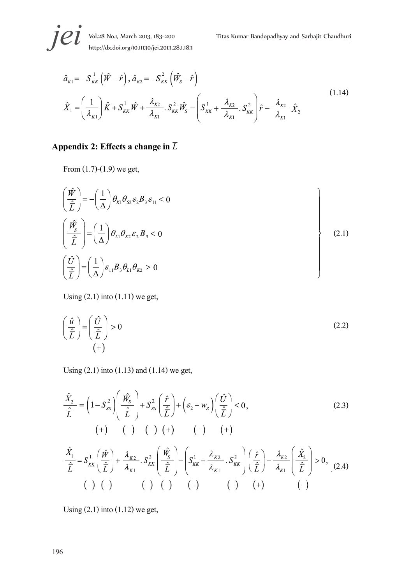$$
\hat{a}_{K1} = -S_{KK}^{1} (\hat{W} - \hat{r}), \hat{a}_{K2} = -S_{KK}^{2} (\hat{W}_{S} - \hat{r})
$$
\n
$$
\hat{X}_{1} = \left(\frac{1}{\lambda_{K1}}\right) \hat{K} + S_{KK}^{1} \hat{W} + \frac{\lambda_{K2}}{\lambda_{K1}} S_{KK}^{2} \hat{W}_{S} - \left(S_{KK}^{1} + \frac{\lambda_{K2}}{\lambda_{K1}} S_{KK}^{2}\right) \hat{r} - \frac{\lambda_{K2}}{\lambda_{K1}} \hat{X}_{2}
$$
\n(1.14)

### Appendix 2: Effects a change in  $\overline{L}$

From (1.7)-(1.9) we get,

$$
\left(\frac{\hat{W}}{\hat{L}}\right) = -\left(\frac{1}{\Delta}\right)\theta_{\kappa_1}\theta_{s_2}\varepsilon_2 B_s\varepsilon_{11} < 0
$$
\n
$$
\left(\frac{\hat{W}_s}{\hat{L}}\right) = \left(\frac{1}{\Delta}\right)\theta_{L1}\theta_{\kappa_2}\varepsilon_2 B_s < 0
$$
\n
$$
\left(\frac{\hat{U}}{\hat{L}}\right) = \left(\frac{1}{\Delta}\right)\varepsilon_{11}B_s\theta_{L1}\theta_{\kappa_2} > 0
$$
\n(2.1)

Using  $(2.1)$  into  $(1.11)$  we get,

$$
\left(\frac{\hat{u}}{\hat{L}}\right) = \left(\frac{\hat{U}}{\hat{L}}\right) > 0\tag{2.2}
$$

Using (2.1) into (1.13) and (1.14) we get,

$$
\frac{\hat{X}_2}{\hat{L}} = \left(1 - S_{SS}^2\right) \left(\frac{\hat{W}_S}{\hat{L}}\right) + S_{SS}^2 \left(\frac{\hat{r}}{\hat{L}}\right) + \left(\varepsilon_2 - w_g\right) \left(\frac{\hat{U}}{\hat{L}}\right) < 0,\tag{2.3}
$$
\n
$$
(+) \quad (-) \quad (-) \quad (+) \quad (-) \quad (+)
$$
\n
$$
\frac{\hat{X}_1}{\hat{L}} = S_{KK}^1 \left(\frac{\hat{W}}{\hat{L}}\right) + \frac{\lambda_{K2}}{\lambda_{K1}} \cdot S_{KK}^2 \left(\frac{\hat{W}_S}{\hat{L}}\right) - \left(S_{KK}^1 + \frac{\lambda_{K2}}{\lambda_{K1}} \cdot S_{KK}^2\right) \left(\frac{\hat{r}}{\hat{L}}\right) - \frac{\lambda_{K2}}{\lambda_{K1}} \left(\frac{\hat{X}_2}{\hat{L}}\right) > 0,\tag{2.4}
$$
\n
$$
(-) \quad (-) \quad (-) \quad (-) \quad (-) \quad (-) \quad (-) \quad (-)
$$

Using  $(2.1)$  into  $(1.12)$  we get,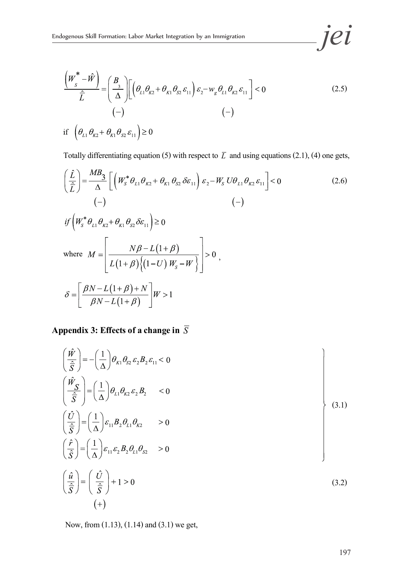$$
\frac{\left(W_s^* - \hat{W}\right)}{\hat{L}} = \left(\frac{B_3}{\Delta}\right) \left[\left(\theta_{L1}\theta_{K2} + \theta_{K1}\theta_{S2}\varepsilon_{11}\right)\varepsilon_2 - w_g\theta_{L1}\theta_{K2}\varepsilon_{11}\right] < 0
$$
\n
$$
(-)
$$
\nif\n
$$
\left(\theta_{L1}\theta_{K2} + \theta_{K1}\theta_{S2}\varepsilon_{11}\right) \ge 0
$$
\n(2.5)

Totally differentiating equation (5) with respect to  $\overline{L}$  and using equations (2.1), (4) one gets,

$$
\left(\frac{\hat{L}}{\hat{L}}\right) = \frac{MB_3}{\Delta} \left[ \left(W_s^* \theta_{L1} \theta_{K2} + \theta_{K1} \theta_{S2} \delta \varepsilon_{11} \right) \varepsilon_2 - W_S U \theta_{L1} \theta_{K2} \varepsilon_{11} \right] < 0
$$
\n
$$
(-)
$$
\n
$$
if \left(W_s^* \theta_{L1} \theta_{K2} + \theta_{K1} \theta_{S2} \delta \varepsilon_{11} \right) \ge 0
$$
\n
$$
\text{where } M = \left[ \frac{N\beta - L(1+\beta)}{L(1+\beta)\left\{ (1-U) W_S - W \right\}} \right] > 0,
$$
\n
$$
\delta = \left[ \frac{\beta N - L(1+\beta) + N}{\beta N - L(1+\beta)} \right] W > 1
$$
\n(2.6)

## **Appendix 3: Effects of a change in**  $\overline{S}$

$$
\left(\frac{\hat{W}}{\frac{\hat{S}}{\hat{S}}}\right) = -\left(\frac{1}{\Delta}\right)\theta_{\kappa1}\theta_{s2}\varepsilon_{2}B_{2}\varepsilon_{11} < 0
$$
\n
$$
\left(\frac{\hat{W}_{S}}{\frac{\hat{S}}{\hat{S}}}\right) = \left(\frac{1}{\Delta}\right)\theta_{L1}\theta_{\kappa2}\varepsilon_{2}B_{2} \quad < 0
$$
\n
$$
\left(\frac{\hat{U}}{\frac{\hat{S}}{\hat{S}}}\right) = \left(\frac{1}{\Delta}\right)\varepsilon_{11}B_{2}\theta_{L1}\theta_{\kappa2} \quad > 0
$$
\n
$$
\left(\frac{\hat{r}}{\hat{S}}\right) = \left(\frac{1}{\Delta}\right)\varepsilon_{11}\varepsilon_{2}B_{2}\theta_{L1}\theta_{s2} \quad > 0
$$
\n
$$
\left(\frac{\hat{u}}{\hat{S}}\right) = \left(\frac{\hat{U}}{\hat{S}}\right) + 1 > 0
$$
\n(3.2)

Now, from (1.13), (1.14) and (3.1) we get,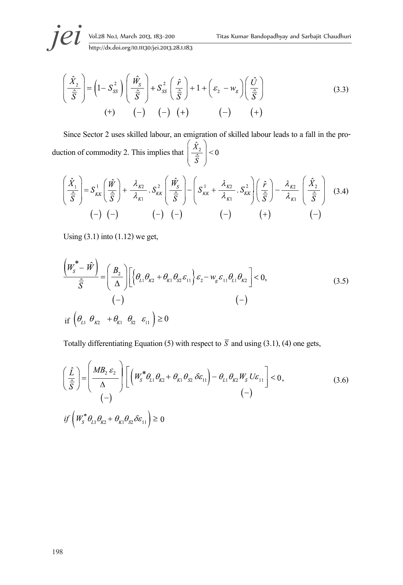$$
\left(\frac{\hat{X}_2}{\hat{S}}\right) = \left(1 - S_{SS}^2\right) \left(\frac{\hat{W}_S}{\hat{S}}\right) + S_{SS}^2 \left(\frac{\hat{r}}{\hat{S}}\right) + 1 + \left(\varepsilon_2 - w_g\right) \left(\frac{\hat{U}}{\hat{S}}\right)
$$
\n
$$
(+) \qquad (-) \qquad (-) \qquad (+) \qquad (-) \qquad (+) \qquad (-) \qquad (+)
$$
\n(3.3)

Since Sector 2 uses skilled labour, an emigration of skilled labour leads to a fall in the production of commodity 2. This implies that  $\left(\frac{\hat{X}_2}{\hat{S}}\right) < 0$ 

$$
\left(\frac{\hat{X}_1}{\hat{S}}\right) = S_{KK}^1 \left(\frac{\hat{W}}{\hat{S}}\right) + \frac{\lambda_{K2}}{\lambda_{K1}} \cdot S_{KK}^2 \left(\frac{\hat{W}_S}{\hat{S}}\right) - \left(S_{KK}^1 + \frac{\lambda_{K2}}{\lambda_{K1}} \cdot S_{KK}^2\right) \left(\frac{\hat{r}}{\hat{S}}\right) - \frac{\lambda_{K2}}{\lambda_{K1}} \left(\frac{\hat{X}_2}{\hat{S}}\right)
$$
(3.4)  
(-) (-) (-) (-) (-) (-) (-)

Using  $(3.1)$  into  $(1.12)$  we get,

$$
\frac{\left(W_s^* - \hat{W}\right)}{\hat{S}} = \left(\frac{B_2}{\Delta}\right) \left[\left\{\theta_{L1}\theta_{K2} + \theta_{K1}\theta_{S2}\varepsilon_{11}\right\}\varepsilon_2 - w_g\varepsilon_{11}\theta_{L1}\theta_{K2}\right] < 0,
$$
\n
$$
(-)
$$
\nif  $\left(\theta_{L1}\theta_{K2} + \theta_{K1}\theta_{S2}\varepsilon_{11}\right) \ge 0$ \n(3.5)

Totally differentiating Equation (5) with respect to  $\overline{S}$  and using (3.1), (4) one gets,

$$
\left(\frac{\hat{L}}{\hat{S}}\right) = \left(\frac{MB_2 \varepsilon_2}{\Delta}\right) \left[ \left(W_s^* \theta_{L1} \theta_{K2} + \theta_{K1} \theta_{S2} \delta \varepsilon_{11}\right) - \theta_{L1} \theta_{K2} W_S U \varepsilon_{11} \right] < 0,
$$
\n
$$
= \left(\frac{-}{\Delta}\right)
$$
\n
$$
if \left(W_s^* \theta_{L1} \theta_{K2} + \theta_{K1} \theta_{S2} \delta \varepsilon_{11}\right) \ge 0
$$
\n
$$
(3.6)
$$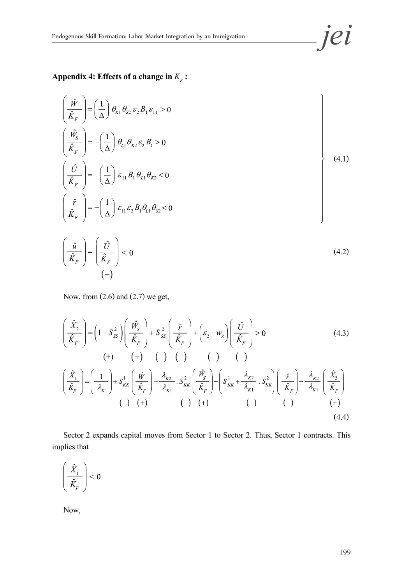Appendix 4: Effects of a change in  $K_F$ :

$$
\left(\frac{\hat{W}}{\hat{K}_F}\right) = \left(\frac{1}{\Delta}\right)\theta_{K1}\theta_{S2}\varepsilon_2 B_1\varepsilon_{11} > 0
$$
\n
$$
\left(\frac{\hat{W}_S}{\hat{K}_F}\right) = -\left(\frac{1}{\Delta}\right)\theta_{L1}\theta_{K2}\varepsilon_2 B_1 > 0
$$
\n
$$
\left(\frac{\hat{U}}{\hat{K}_F}\right) = -\left(\frac{1}{\Delta}\right)\varepsilon_{11}B_1\theta_{L1}\theta_{K2} < 0
$$
\n
$$
\left(\frac{\hat{F}}{\hat{K}_F}\right) = -\left(\frac{1}{\Delta}\right)\varepsilon_{11}\varepsilon_2 B_1\theta_{L1}\theta_{S2} < 0
$$
\n
$$
\left(\frac{\hat{u}}{\hat{K}_F}\right) = \left(\frac{\hat{U}}{\hat{K}_F}\right) < 0
$$
\n(4.2)

Now, from (2.6) and (2.7) we get,

$$
\left(\frac{\hat{X}_2}{\hat{K}_F}\right) = \left(1 - S_{SS}^2\right) \left(\frac{\hat{W}_S}{\hat{K}_F}\right) + S_{SS}^2 \left(\frac{\hat{r}}{\hat{K}_F}\right) + \left(\varepsilon_2 - w_g\right) \left(\frac{\hat{U}}{\hat{K}_F}\right) > 0 \tag{4.3}
$$
\n
$$
\left(+\right) \quad \left(+\right) \quad \left(-\right) \quad \left(-\right) \quad \left(-\right) \quad \left(-\right) \tag{4.4}
$$
\n
$$
\left(\frac{\hat{X}_1}{\hat{K}_F}\right) = \left(\frac{1}{\lambda_{K1}}\right) + S_{KK}^1 \left(\frac{\hat{W}}{\hat{K}_F}\right) + \frac{\lambda_{K2}}{\lambda_{K1}} \cdot S_{KK}^2 \left(\frac{\hat{W}_S}{\hat{K}_F}\right) - \left(S_{KK}^1 + \frac{\lambda_{K2}}{\lambda_{K1}} \cdot S_{KK}^2\right) \left(\frac{\hat{r}}{\hat{K}_F}\right) - \frac{\lambda_{K2}}{\lambda_{K1}} \left(\frac{\hat{X}_2}{\hat{K}_F}\right) \tag{4.4}
$$
\n
$$
\left(-\right) \quad \left(+\right) \quad \left(-\right) \quad \left(+\right) \tag{4.4}
$$

Sector 2 expands capital moves from Sector 1 to Sector 2. Thus, Sector 1 contracts. This implies that

$$
\left(\frac{\hat{X}_1}{\hat{K}_{\!\scriptscriptstyle F}}\right)\!<0
$$

Now, Ī

 $\overline{ }$